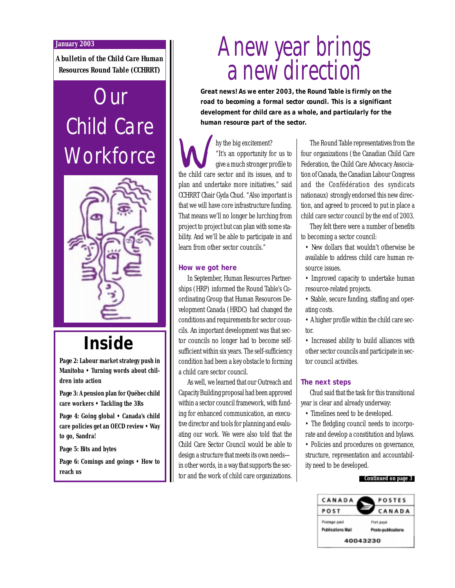### **January 2003**

*A bulletin of the Child Care Human Resources Round Table (CCHRRT)*

# **Our** Child Care **Workforce**



## **Inside**

*Page 2***: Labour market strategy push in Manitoba • Turning words about children into action**

*Page 3***: A pension plan for Québec child care workers • Tackling the 3Rs**

*Page 4***: Going global • Canada's child care policies get an OECD review • Way to go, Sandra!**

*Page 5***: Bits and bytes**

*Page 6***: Comings and goings • How to reach us**

# A new year brings a new direction

**Great news! As we enter 2003, the Round Table is firmly on the road to becoming a formal sector council. This is a significant development for child care as a whole, and particularly for the human resource part of the sector.**

hy the big excitement? "It's an opportunity for us to give a much stronger profile to the child care sector and its issues, and to plan and undertake more initiatives," said CCHRRT Chair Gyda Chud. "Also important is that we will have core infrastructure funding. That means we'll no longer be lurching from project to project but can plan with some stability. And we'll be able to participate in and learn from other sector councils."

### **How we got here**

In September, Human Resources Partnerships (HRP) informed the Round Table's Coordinating Group that Human Resources Development Canada (HRDC) had changed the conditions and requirements for sector councils. An important development was that sector councils no longer had to become selfsufficient within six years. The self-sufficiency condition had been a key obstacle to forming a child care sector council.

As well, we learned that our Outreach and Capacity Building proposal had been approved within a sector council framework, with funding for enhanced communication, an executive director and tools for planning and evaluating our work. We were also told that the Child Care Sector Council would be able to design a structure that meets its own needs in other words, in a way that supports the sector and the work of child care organizations.

The Round Table representatives from the four organizations (the Canadian Child Care Federation, the Child Care Advocacy Association of Canada, the Canadian Labour Congress and the Confédération des syndicats nationaux) strongly endorsed this new direction, and agreed to proceed to put in place a child care sector council by the end of 2003.

They felt there were a number of benefits to becoming a sector council:

- New dollars that wouldn't otherwise be available to address child care human resource issues.
- Improved capacity to undertake human resource-related projects.
- Stable, secure funding, staffing and operating costs.
- A higher profile within the child care sector.

• Increased ability to build alliances with other sector councils and participate in sector council activities.

### **The next steps**

Chud said that the task for this transitional year is clear and already underway:

• Timelines need to be developed.

• The fledgling council needs to incorporate and develop a constitution and bylaws.

• Policies and procedures on governance, structure, representation and accountability need to be developed.



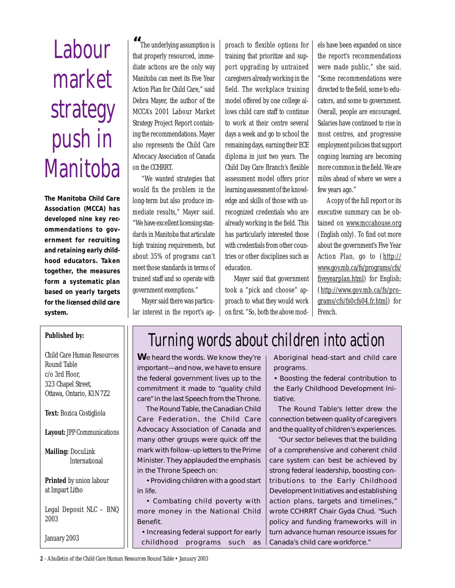# **Labour** market strategy push in **Manitoba**

**The Manitoba Child Care Association (MCCA) has developed nine key recommendations to government for recruiting and retaining early childhood educators. Taken together, the measures form a systematic plan based on yearly targets for the licensed child care system.**

**"** The underlying assumption is that properly resourced, immediate actions are the only way Manitoba can meet its Five Year Action Plan for Child Care," said Debra Mayer, the author of the MCCA's 2001 Labour Market Strategy Project Report containing the recommendations. Mayer also represents the Child Care Advocacy Association of Canada on the CCHRRT.

"We wanted strategies that would fix the problem in the long-term but also produce immediate results," Mayer said. "We have excellent licensing standards in Manitoba that articulate high training requirements, but about 35% of programs can't meet those standards in terms of trained staff and so operate with government exemptions."

Mayer said there was particular interest in the report's ap-

proach to flexible options for training that prioritize and support upgrading by untrained caregivers already working in the field. The workplace training model offered by one college allows child care staff to continue to work at their centre several days a week and go to school the remaining days, earning their ECE diploma in just two years. The Child Day Care Branch's flexible assessment model offers prior learning assessment of the knowledge and skills of those with unrecognized credentials who are already working in the field. This has particularly interested those with credentials from other countries or other disciplines such as education.

Mayer said that government took a "pick and choose" approach to what they would work on first. "So, both the above models have been expanded on since the report's recommendations were made public," she said. "Some recommendations were directed to the field, some to educators, and some to government. Overall, people are encouraged. Salaries have continued to rise in most centres, and progressive employment policies that support ongoing learning are becoming more common in the field. We are miles ahead of where we were a few years ago."

A copy of the full report or its executive summary can be obtained on www.mccahouse.org (English only). To find out more about the government's Five Year Action Plan, go to (http:// www.gov.mb.ca/fs/programs/cfs/ fiveyearplan.html) for English; (http://www.gov.mb.ca/fs/programs/cfs/fs0cfs04.fr.html) for French.

### **Published by:**

Child Care Human Resources Round Table c/o 3rd Floor, 323 Chapel Street, Ottawa, Ontario, K1N 7Z2

**Text:** Bozica Costigliola

**Layout:** JPP Communications

**Mailing:** DocuLink International

**Printed** by union labour at Impart Litho

Legal Deposit NLC – BNQ 2003

January 2003

## Turning words about children into action

**W**e heard the words. We know they're important—and now, we have to ensure the federal government lives up to the commitment it made to "quality child care" in the last Speech from the Throne.

The Round Table, the Canadian Child Care Federation, the Child Care Advocacy Association of Canada and many other groups were quick off the mark with follow-up letters to the Prime Minister. They applauded the emphasis in the Throne Speech on:

• Providing children with a good start in life.

• Combating child poverty with more money in the National Child Benefit.

• Increasing federal support for early childhood programs such as Aboriginal head-start and child care programs.

• Boosting the federal contribution to the Early Childhood Development Initiative.

The Round Table's letter drew the connection between quality of caregivers and the quality of children's experiences.

"Our sector believes that the building of a comprehensive and coherent child care system can best be achieved by strong federal leadership, boosting contributions to the Early Childhood Development Initiatives and establishing action plans, targets and timelines," wrote CCHRRT Chair Gyda Chud. "Such policy and funding frameworks will in turn advance human resource issues for Canada's child care workforce."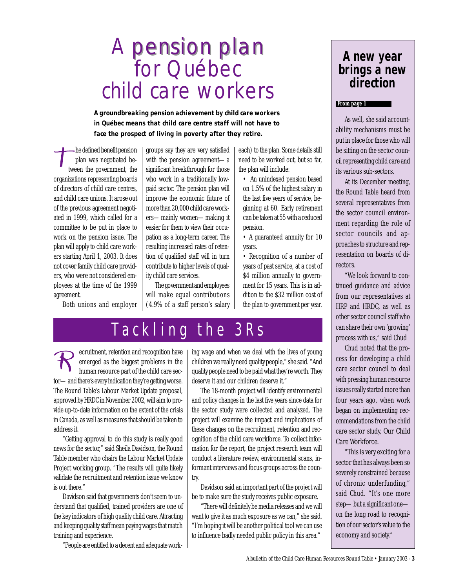## pension plan A pension plan for Québec child care workers

**A groundbreaking pension achievement by child care workers in Québec means that child care centre staff will not have to face the prospect of living in poverty after they retire.**

he defined benefit pension plan was negotiated between the government, the organizations representing boards of directors of child care centres, and child care unions. It arose out of the previous agreement negotiated in 1999, which called for a committee to be put in place to work on the pension issue. The plan will apply to child care workers starting April 1, 2003. It does not cover family child care providers, who were not considered employees at the time of the 1999 agreement.

Both unions and employer

groups say they are very satisfied with the pension agreement—a significant breakthrough for those who work in a traditionally lowpaid sector. The pension plan will improve the economic future of more than 20,000 child care workers—mainly women—making it easier for them to view their occupation as a long-term career. The resulting increased rates of retention of qualified staff will in turn contribute to higher levels of quality child care services.

The government and employees will make equal contributions (4.9% of a staff person's salary each) to the plan. Some details still need to be worked out, but so far, the plan will include:

- An unindexed pension based on 1.5% of the highest salary in the last five years of service, beginning at 60. Early retirement can be taken at 55 with a reduced pension.
- A guaranteed annuity for 10 years.
- Recognition of a number of years of past service, at a cost of \$4 million annually to government for 15 years. This is in addition to the \$32 million cost of the plan to government per year.

## Tackling the 3Rs

ecruitment, retention and recognition have emerged as the biggest problems in the human resource part of the child care sector—and there's every indication they're getting worse. The Round Table's Labour Market Update proposal, approved by HRDC in November 2002, will aim to provide up-to-date information on the extent of the crisis in Canada, as well as measures that should be taken to address it.

"Getting approval to do this study is really good news for the sector," said Sheila Davidson, the Round Table member who chairs the Labour Market Update Project working group. "The results will quite likely validate the recruitment and retention issue we know is out there."

Davidson said that governments don't seem to understand that qualified, trained providers are one of the key indicators of high quality child care. Attracting and keeping quality staff mean paying wages that match training and experience.

"People are entitled to a decent and adequate work-

ing wage and when we deal with the lives of young children we really need quality people," she said. "And quality people need to be paid what they're worth. They deserve it and our children deserve it."

The 18-month project will identify environmental and policy changes in the last five years since data for the sector study were collected and analyzed. The project will examine the impact and implications of these changes on the recruitment, retention and recognition of the child care workforce. To collect information for the report, the project research team will conduct a literature review, environmental scans, informant interviews and focus groups across the country.

Davidson said an important part of the project will be to make sure the study receives public exposure.

"There will definitely be media releases and we will want to give it as much exposure as we can," she said. "I'm hoping it will be another political tool we can use to influence badly needed public policy in this area."

### **A new year brings a new direction**

### **From page 1**

As well, she said accountability mechanisms must be put in place for those who will be sitting on the sector council representing child care and its various sub-sectors.

At its December meeting, the Round Table heard from several representatives from the sector council environment regarding the role of sector councils and approaches to structure and representation on boards of directors.

"We look forward to continued guidance and advice from our representatives at HRP and HRDC, as well as other sector council staff who can share their own 'growing' process with us," said Chud

Chud noted that the process for developing a child care sector council to deal with pressing human resource issues really started more than four years ago, when work began on implementing recommendations from the child care sector study, *Our Child Care Workforce.*

"This is very exciting for a sector that has always been so severely constrained because of chronic underfunding," said Chud. "It's one more step—but a significant one on the long road to recognition of our sector's value to the economy and society."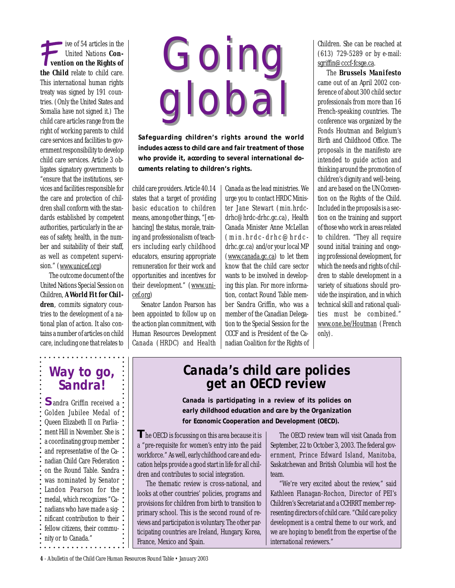ive of 54 articles in the United Nations *Convention on the Rights of the Child* relate to child care. This international human rights treaty was signed by 191 countries. (Only the United States and Somalia have not signed it.) The child care articles range from the right of working parents to child care services and facilities to government responsibility to develop child care services. Article 3 obligates signatory governments to "ensure that the institutions, services and facilities responsible for the care and protection of children shall conform with the standards established by competent authorities, particularly in the areas of safety, health, in the number and suitability of their staff, as well as competent supervision." (www.unicef.org)

The outcome document of the United Nations Special Session on Children, *A World Fit for Chil*dren, commits signatory countries to the development of a national plan of action. It also contains a number of articles on child care, including one that relates to

# Going global **Going** global

**Safeguarding children's rights around the world includes access to child care and fair treatment of those who provide it, according to several international documents relating to children's rights.**

child care providers. Article 40.14 states that a target of providing basic education to children means, among other things, "[enhancing] the status, morale, training and professionalism of teachers including early childhood educators, ensuring appropriate remuneration for their work and opportunities and incentives for their development." (www.unicef.org)

Senator Landon Pearson has been appointed to follow up on the action plan commitment, with Human Resources Development Canada (HRDC) and Health

Canada as the lead ministries. We urge you to contact HRDC Minister Jane Stewart (min.hrdcdrhc@hrdc-drhc.gc.ca), Health Canada Minister Anne McLellan (min.hrdc-drhc@hrdcdrhc.gc.ca) and/or your local MP (www.canada.gc.ca) to let them know that the child care sector wants to be involved in developing this plan. For more information, contact Round Table member Sandra Griffin, who was a member of the Canadian Delegation to the Special Session for the CCCF and is President of the Canadian Coalition for the Rights of

Children. She can be reached at (613) 729-5289 or by e-mail: sgriffin@cccf-fcsge.ca.

The *Brussels Manifesto* came out of an April 2002 conference of about 300 child sector professionals from more than 16 French-speaking countries. The conference was organized by the Fonds Houtman and Belgium's Birth and Childhood Office. The proposals in the manifesto are intended to guide action and thinking around the promotion of children's dignity and well-being, and are based on the UN Convention on the Rights of the Child. Included in the proposals is a section on the training and support of those who work in areas related to children. "They all require sound initial training and ongoing professional development, for which the needs and rights of children to stable development in a variety of situations should provide the inspiration, and in which technical skill and rational qualities must be combined." www.one.be/Houtman (French only).

### **Way to go, Sandra!**

**S**andra Griffin received a Golden Jubilee Medal of Queen Elizabeth II on Parliament Hill in November. She is a coordinating group member : and representative of the Canadian Child Care Federation : on the Round Table. Sandra • was nominated by Senator • Landon Pearson for the : medal, which recognizes "Canadians who have made a significant contribution to their: fellow citizens, their community or to Canada."

### **Canada's child care policies get an OECD review**

**Canada is participating in a review of its policies on early childhood education and care by the Organization for Economic Cooperation and Development (OECD).**

**T**he OECD is focussing on this area because it is a "pre-requisite for women's entry into the paid workforce." As well, early childhood care and education helps provide a good start in life for all children and contributes to social integration.

The thematic review is cross-national, and looks at other countries' policies, programs and provisions for children from birth to transition to primary school. This is the second round of reviews and participation is voluntary. The other participating countries are Ireland, Hungary, Korea, France, Mexico and Spain.

The OECD review team will visit Canada from September, 22 to October 3, 2003. The federal government, Prince Edward Island, Manitoba, Saskatchewan and British Columbia will host the team.

"We're very excited about the review," said Kathleen Flanagan-Rochon, Director of PEI's Children's Secretariat and a CCHRRT member representing directors of child care. "Child care policy development is a central theme to our work, and we are hoping to benefit from the expertise of the international reviewers."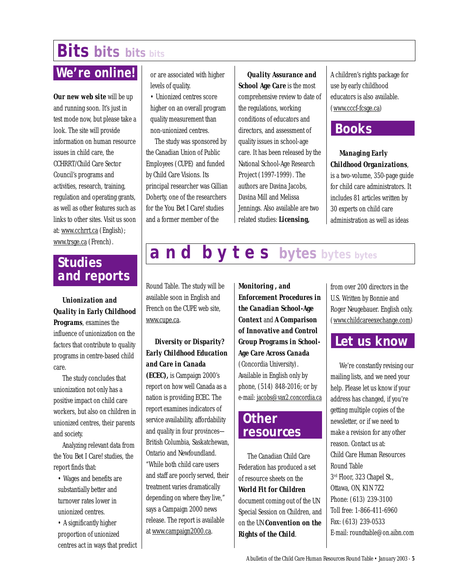## **Bits bits bits bits**

### **We're online!**

*Our new web site* will be up and running soon. It's just in test mode now, but please take a look. The site will provide information on human resource issues in child care, the CCHRRT/Child Care Sector Council's programs and activities, research, training, regulation and operating grants, as well as other features such as links to other sites. Visit us soon at: www.cchrrt.ca (English); www.trsge.ca (French).

or are associated with higher levels of quality.

• Unionized centres score higher on an overall program quality measurement than non-unionized centres.

The study was sponsored by the Canadian Union of Public Employees (CUPE) and funded by Child Care Visions. Its principal researcher was Gillian Doherty, one of the researchers for the *You Bet I Care!* studies and a former member of the

*Quality Assurance and School Age Care* is the most comprehensive review to date of the regulations, working conditions of educators and directors, and assessment of quality issues in school-age care. It has been released by the National School-Age Research Project (1997-1999). The authors are Davina Jacobs, Davina Mill and Melissa Jennings. Also available are two related studies: *Licensing,*

A children's rights package for use by early childhood educators is also available. (www.cccf-fcsge.ca)

### **Books**

### *Managing Early Childhood Organizations*,

is a two-volume, 350-page guide for child care administrators. It includes 81 articles written by 30 experts on child care administration as well as ideas

### **Studies and reports**

*Unionization and Quality in Early Childhood Programs*, examines the influence of unionization on the factors that contribute to quality programs in centre-based child care.

The study concludes that unionization not only has a positive impact on child care workers, but also on children in unionized centres, their parents and society.

Analyzing relevant data from the *You Bet I Care!* studies, the report finds that:

• Wages and benefits are substantially better and turnover rates lower in unionized centres.

• A significantly higher proportion of unionized centres act in ways that predict Round Table. The study will be available soon in English and French on the CUPE web site, www.cupe.ca.

### *Diversity or Disparity? Early Childhood Education and Care in Canada*

*(ECEC),* is Campaign 2000's report on how well Canada as a nation is providing ECEC. The report examines indicators of service availability, affordability and quality in four provinces— British Columbia, Saskatchewan, Ontario and Newfoundland. "While both child care users and staff are poorly served, their treatment varies dramatically depending on where they live," says a Campaign 2000 news release. The report is available at www.campaign2000.ca.

*Monitoring , and Enforcement Procedures in the Canadian School-Age Context* and *A Comparison of Innovative and Control Group Programs in School-Age Care Across Canada* (Concordia University). Available in English only by phone, (514) 848-2016; or by e-mail: jacobs@vax2.concordia.ca

**a n d b y t e s bytes bytes bytes**

### **Other resources**

The Canadian Child Care Federation has produced a set of resource sheets on the *World Fit for Children* document coming out of the UN Special Session on Children, and on the UN *Convention on the Rights of the Child.*

from over 200 directors in the U.S. Written by Bonnie and Roger Neugebauer. English only. (www.childcareexechange.com)

### **Let us know**

We're constantly revising our mailing lists, and we need your help. Please let us know if your address has changed, if you're getting multiple copies of the newsletter, or if we need to make a revision for any other reason. Contact us at: Child Care Human Resources Round Table 3rd Floor, 323 Chapel St., Ottawa, ON, K1N 7Z2 Phone: (613) 239-3100 Toll free: 1-866-411-6960 Fax: (613) 239-0533 E-mail: roundtable@on.aibn.com